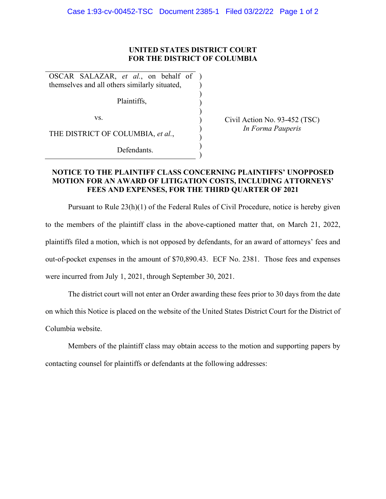## **UNITED STATES DISTRICT COURT FOR THE DISTRICT OF COLUMBIA**

) ) ) ) ) ) ) ) )

OSCAR SALAZAR, *et al.*, on behalf of ) themselves and all others similarly situated,

Plaintiffs,

vs.

THE DISTRICT OF COLUMBIA, *et al.*,

Defendants.

Civil Action No. 93-452 (TSC) *In Forma Pauperis* 

## **NOTICE TO THE PLAINTIFF CLASS CONCERNING PLAINTIFFS' UNOPPOSED MOTION FOR AN AWARD OF LITIGATION COSTS, INCLUDING ATTORNEYS' FEES AND EXPENSES, FOR THE THIRD QUARTER OF 2021**

Pursuant to Rule 23(h)(1) of the Federal Rules of Civil Procedure, notice is hereby given to the members of the plaintiff class in the above-captioned matter that, on March 21, 2022, plaintiffs filed a motion, which is not opposed by defendants, for an award of attorneys' fees and out-of-pocket expenses in the amount of \$70,890.43. ECF No. 2381. Those fees and expenses were incurred from July 1, 2021, through September 30, 2021.

The district court will not enter an Order awarding these fees prior to 30 days from the date on which this Notice is placed on the website of the United States District Court for the District of Columbia website.

Members of the plaintiff class may obtain access to the motion and supporting papers by contacting counsel for plaintiffs or defendants at the following addresses: